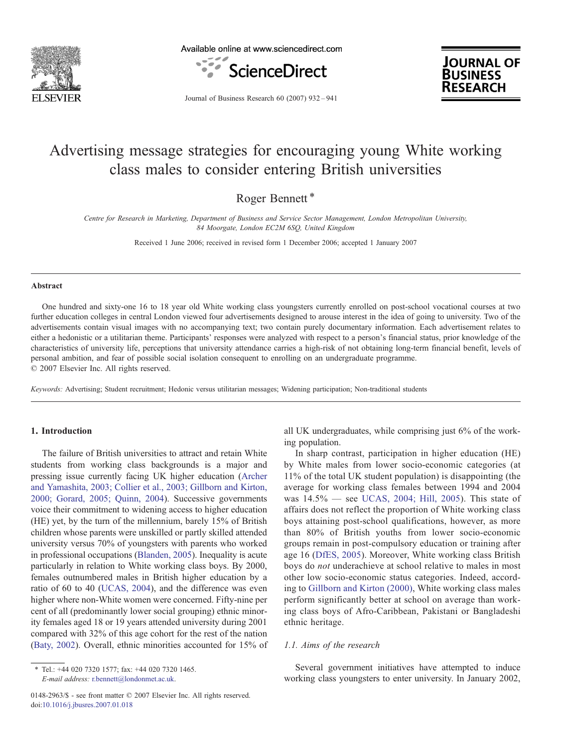

Available online at www.sciencedirect.com





Journal of Business Research 60 (2007) 932–941

## Advertising message strategies for encouraging young White working class males to consider entering British universities

Roger Bennett<sup>\*</sup>

Centre for Research in Marketing, Department of Business and Service Sector Management, London Metropolitan University, 84 Moorgate, London EC2M 6SQ, United Kingdom

Received 1 June 2006; received in revised form 1 December 2006; accepted 1 January 2007

#### Abstract

One hundred and sixty-one 16 to 18 year old White working class youngsters currently enrolled on post-school vocational courses at two further education colleges in central London viewed four advertisements designed to arouse interest in the idea of going to university. Two of the advertisements contain visual images with no accompanying text; two contain purely documentary information. Each advertisement relates to either a hedonistic or a utilitarian theme. Participants' responses were analyzed with respect to a person's financial status, prior knowledge of the characteristics of university life, perceptions that university attendance carries a high-risk of not obtaining long-term financial benefit, levels of personal ambition, and fear of possible social isolation consequent to enrolling on an undergraduate programme. © 2007 Elsevier Inc. All rights reserved.

Keywords: Advertising; Student recruitment; Hedonic versus utilitarian messages; Widening participation; Non-traditional students

## 1. Introduction

The failure of British universities to attract and retain White students from working class backgrounds is a major and pressing issue currently facing UK higher education [\(Archer](#page--1-0) [and Yamashita, 2003; Collier et al., 2003; Gillborn and Kirton,](#page--1-0) [2000; Gorard, 2005; Quinn, 2004](#page--1-0)). Successive governments voice their commitment to widening access to higher education (HE) yet, by the turn of the millennium, barely 15% of British children whose parents were unskilled or partly skilled attended university versus 70% of youngsters with parents who worked in professional occupations [\(Blanden, 2005\)](#page--1-0). Inequality is acute particularly in relation to White working class boys. By 2000, females outnumbered males in British higher education by a ratio of 60 to 40 ([UCAS, 2004](#page--1-0)), and the difference was even higher where non-White women were concerned. Fifty-nine per cent of all (predominantly lower social grouping) ethnic minority females aged 18 or 19 years attended university during 2001 compared with 32% of this age cohort for the rest of the nation ([Baty, 2002\)](#page--1-0). Overall, ethnic minorities accounted for 15% of all UK undergraduates, while comprising just 6% of the working population.

In sharp contrast, participation in higher education (HE) by White males from lower socio-economic categories (at 11% of the total UK student population) is disappointing (the average for working class females between 1994 and 2004 was 14.5% — see [UCAS, 2004; Hill, 2005](#page--1-0)). This state of affairs does not reflect the proportion of White working class boys attaining post-school qualifications, however, as more than 80% of British youths from lower socio-economic groups remain in post-compulsory education or training after age 16 ([DfES, 2005\)](#page--1-0). Moreover, White working class British boys do not underachieve at school relative to males in most other low socio-economic status categories. Indeed, according to [Gillborn and Kirton \(2000\)](#page--1-0), White working class males perform significantly better at school on average than working class boys of Afro-Caribbean, Pakistani or Bangladeshi ethnic heritage.

## 1.1. Aims of the research

Several government initiatives have attempted to induce working class youngsters to enter university. In January 2002,

<sup>⁎</sup> Tel.: +44 020 7320 1577; fax: +44 020 7320 1465. E-mail address: [r.bennett@londonmet.ac.uk.](mailto:r.bennett@londonmet.ac.uk)

<sup>0148-2963/\$ -</sup> see front matter © 2007 Elsevier Inc. All rights reserved. doi:[10.1016/j.jbusres.2007.01.018](http://dx.doi.org/10.1016/j.jbusres.2007.01.018)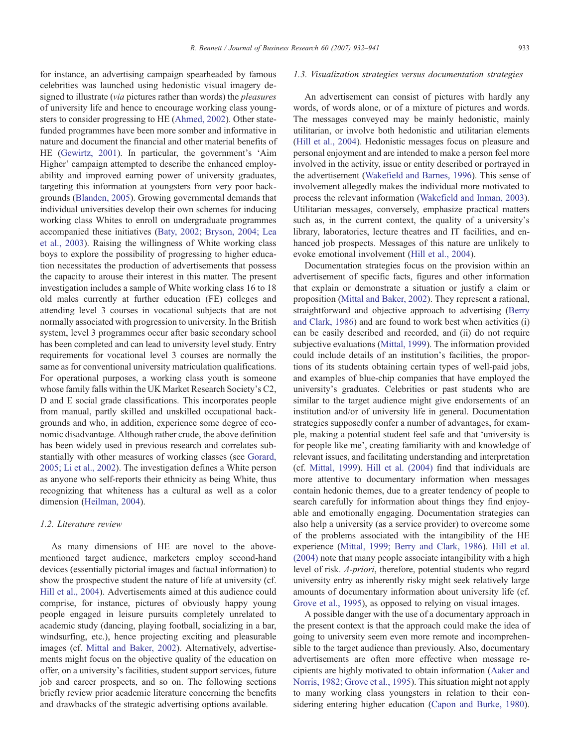for instance, an advertising campaign spearheaded by famous celebrities was launched using hedonistic visual imagery designed to illustrate (via pictures rather than words) the pleasures of university life and hence to encourage working class youngsters to consider progressing to HE ([Ahmed, 2002\)](#page--1-0). Other statefunded programmes have been more somber and informative in nature and document the financial and other material benefits of HE ([Gewirtz, 2001](#page--1-0)). In particular, the government's 'Aim Higher' campaign attempted to describe the enhanced employability and improved earning power of university graduates, targeting this information at youngsters from very poor backgrounds [\(Blanden, 2005](#page--1-0)). Growing governmental demands that individual universities develop their own schemes for inducing working class Whites to enroll on undergraduate programmes accompanied these initiatives ([Baty, 2002; Bryson, 2004; Lea](#page--1-0) [et al., 2003](#page--1-0)). Raising the willingness of White working class boys to explore the possibility of progressing to higher education necessitates the production of advertisements that possess the capacity to arouse their interest in this matter. The present investigation includes a sample of White working class 16 to 18 old males currently at further education (FE) colleges and attending level 3 courses in vocational subjects that are not normally associated with progression to university. In the British system, level 3 programmes occur after basic secondary school has been completed and can lead to university level study. Entry requirements for vocational level 3 courses are normally the same as for conventional university matriculation qualifications. For operational purposes, a working class youth is someone whose family falls within the UK Market Research Society's C2, D and E social grade classifications. This incorporates people from manual, partly skilled and unskilled occupational backgrounds and who, in addition, experience some degree of economic disadvantage. Although rather crude, the above definition has been widely used in previous research and correlates substantially with other measures of working classes (see [Gorard,](#page--1-0) [2005; Li et al., 2002](#page--1-0)). The investigation defines a White person as anyone who self-reports their ethnicity as being White, thus recognizing that whiteness has a cultural as well as a color

#### 1.2. Literature review

dimension ([Heilman, 2004\)](#page--1-0).

As many dimensions of HE are novel to the abovementioned target audience, marketers employ second-hand devices (essentially pictorial images and factual information) to show the prospective student the nature of life at university (cf. [Hill et al., 2004\)](#page--1-0). Advertisements aimed at this audience could comprise, for instance, pictures of obviously happy young people engaged in leisure pursuits completely unrelated to academic study (dancing, playing football, socializing in a bar, windsurfing, etc.), hence projecting exciting and pleasurable images (cf. [Mittal and Baker, 2002](#page--1-0)). Alternatively, advertisements might focus on the objective quality of the education on offer, on a university's facilities, student support services, future job and career prospects, and so on. The following sections briefly review prior academic literature concerning the benefits and drawbacks of the strategic advertising options available.

### 1.3. Visualization strategies versus documentation strategies

An advertisement can consist of pictures with hardly any words, of words alone, or of a mixture of pictures and words. The messages conveyed may be mainly hedonistic, mainly utilitarian, or involve both hedonistic and utilitarian elements ([Hill et al., 2004\)](#page--1-0). Hedonistic messages focus on pleasure and personal enjoyment and are intended to make a person feel more involved in the activity, issue or entity described or portrayed in the advertisement ([Wakefield and Barnes, 1996](#page--1-0)). This sense of involvement allegedly makes the individual more motivated to process the relevant information ([Wakefield and Inman, 2003\)](#page--1-0). Utilitarian messages, conversely, emphasize practical matters such as, in the current context, the quality of a university's library, laboratories, lecture theatres and IT facilities, and enhanced job prospects. Messages of this nature are unlikely to evoke emotional involvement [\(Hill et al., 2004\)](#page--1-0).

Documentation strategies focus on the provision within an advertisement of specific facts, figures and other information that explain or demonstrate a situation or justify a claim or proposition [\(Mittal and Baker, 2002\)](#page--1-0). They represent a rational, straightforward and objective approach to advertising [\(Berry](#page--1-0) [and Clark, 1986\)](#page--1-0) and are found to work best when activities (i) can be easily described and recorded, and (ii) do not require subjective evaluations [\(Mittal, 1999\)](#page--1-0). The information provided could include details of an institution's facilities, the proportions of its students obtaining certain types of well-paid jobs, and examples of blue-chip companies that have employed the university's graduates. Celebrities or past students who are similar to the target audience might give endorsements of an institution and/or of university life in general. Documentation strategies supposedly confer a number of advantages, for example, making a potential student feel safe and that 'university is for people like me', creating familiarity with and knowledge of relevant issues, and facilitating understanding and interpretation (cf. [Mittal, 1999](#page--1-0)). [Hill et al. \(2004\)](#page--1-0) find that individuals are more attentive to documentary information when messages contain hedonic themes, due to a greater tendency of people to search carefully for information about things they find enjoyable and emotionally engaging. Documentation strategies can also help a university (as a service provider) to overcome some of the problems associated with the intangibility of the HE experience ([Mittal, 1999; Berry and Clark, 1986\)](#page--1-0). [Hill et al.](#page--1-0) [\(2004\)](#page--1-0) note that many people associate intangibility with a high level of risk. A-priori, therefore, potential students who regard university entry as inherently risky might seek relatively large amounts of documentary information about university life (cf. [Grove et al., 1995](#page--1-0)), as opposed to relying on visual images.

A possible danger with the use of a documentary approach in the present context is that the approach could make the idea of going to university seem even more remote and incomprehensible to the target audience than previously. Also, documentary advertisements are often more effective when message recipients are highly motivated to obtain information [\(Aaker and](#page--1-0) [Norris, 1982; Grove et al., 1995\)](#page--1-0). This situation might not apply to many working class youngsters in relation to their considering entering higher education [\(Capon and Burke, 1980\)](#page--1-0).